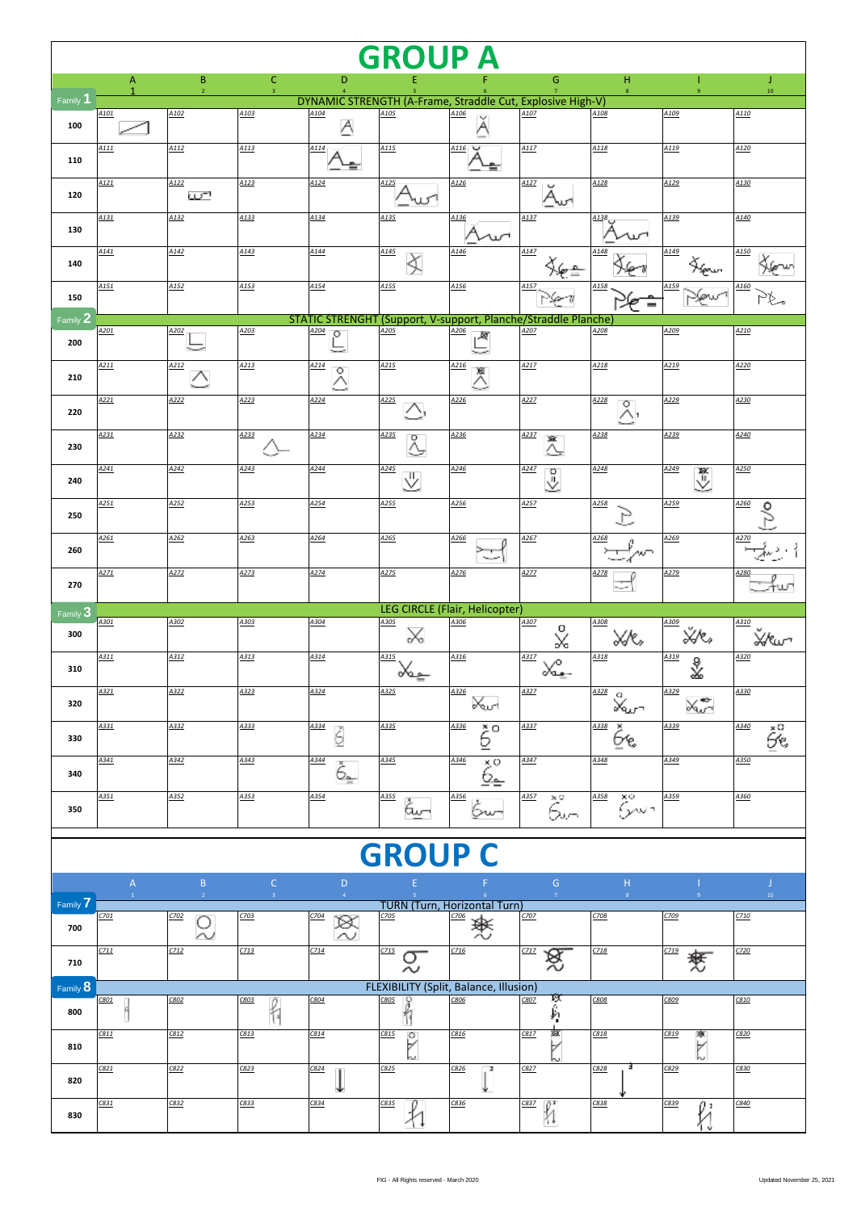| <b>GROUP A</b>      |                  |                     |                                |                                                                                |                                                |                                     |                       |                    |                                             |               |  |
|---------------------|------------------|---------------------|--------------------------------|--------------------------------------------------------------------------------|------------------------------------------------|-------------------------------------|-----------------------|--------------------|---------------------------------------------|---------------|--|
|                     | A                | B<br>$\overline{z}$ | $\mathsf{C}$<br>$\overline{3}$ | D                                                                              |                                                |                                     | G                     | н<br>$\bf 8$       | $\mathbf{q}$                                | J<br>$10\,$   |  |
| Family <sup>1</sup> | A <sub>101</sub> | A <sub>102</sub>    | A103                           | DYNAMIC STRENGTH (A-Frame, Straddle Cut, Explosive High-V)<br>A <sub>104</sub> | A105                                           | A106                                | A107                  | A108               | A109                                        | A110          |  |
| 100                 |                  |                     |                                | A                                                                              |                                                | Α                                   |                       |                    |                                             |               |  |
| 110                 | A111             | A112                | A113                           | A114                                                                           | A <sub>115</sub>                               | A116                                | A117                  | A118               | A119                                        | A120          |  |
| 120                 | A121             | A122<br>س           | A123                           | A124                                                                           | A125                                           | A126                                | A127<br>U<br>Aw       | A128               | A129                                        | A130          |  |
| 130                 | A131             | A132                | A133                           | A134                                                                           | A <sub>135</sub>                               | A136                                | A137                  | A138               | A139                                        | A140          |  |
| 140                 | A141             | A142                | A143                           | A144                                                                           | A145                                           | A146                                | A147                  | A148               | A149                                        | A150          |  |
| 150                 | A <sub>151</sub> | A152                | A <sub>153</sub>               | A <sub>154</sub>                                                               | A155                                           | A156                                | A <sub>157</sub>      | A158               | A159                                        | A160          |  |
| Family 2            |                  |                     |                                | STATIC STRENGHT (Support, V-support, Planche/Straddle Planche)                 |                                                |                                     |                       |                    |                                             |               |  |
| 200                 | A201             | A202                | A203                           | A204<br>$\circ$                                                                | A205                                           | A206<br>Ж                           | A207                  | A208               | A209                                        | A210          |  |
| 210                 | A211             | A212<br>╱╲          | A213                           | A214<br>$\circ$<br>△                                                           | A215                                           | A216<br>18<br>Δ                     | A217                  | A218               | A219                                        | A220          |  |
| 220                 | A221             | A222                | A223                           | A224                                                                           | A225                                           | A226                                | A227                  | A228<br>O<br>Л1    | A229                                        | A230          |  |
| 230                 | A231             | A232                | A233                           | A234                                                                           | A235<br>۰                                      | A236                                | A237<br>XX.           | A238               | A239                                        | A240          |  |
| 240                 | A241             | A242                | A243                           | A244                                                                           | A245<br>∜                                      | A246                                | A247<br>$\circ$<br>⊻  | A248               | A249<br>♨                                   | A250          |  |
| 250                 | A251             | A252                | A253                           | A254                                                                           | A255                                           | A256                                | A257                  | A258               | A259                                        | A260          |  |
| 260                 | A261             | A262                | A263                           | A264                                                                           | A265                                           | A266                                | A267                  | A268<br>ゕヮ         | A269                                        | A270          |  |
| 270                 | A271             | A272                | A273                           | A274                                                                           | A275                                           | A276                                | A277                  | A278               | A279                                        | A280          |  |
|                     |                  |                     |                                |                                                                                |                                                | LEG CIRCLE (Flair, Helicopter)      |                       |                    |                                             |               |  |
| Family 3<br>300     | A301             | A302                | A303                           | A304                                                                           | A305                                           | A306                                | A307<br>о             | A308               | A309<br>ŸЛ,                                 | A310          |  |
| 310                 | A311             | A312                | A313                           | A314                                                                           | ℅<br>A315                                      | A316                                | X<br>A317<br>∼        | XÆ,<br>A318        | A319<br>∛                                   | Χ∕€ω∼<br>A320 |  |
|                     | A321             | A322                | A323                           | A324                                                                           | ഗ്വം<br>A325                                   | A326                                | ്പും-<br>A327         | A328<br>$^{\circ}$ | A329                                        | A330          |  |
| 320                 | A331             | A332                | A333                           | A334                                                                           | A335                                           | ⊁ఱ<br>A336                          | A337                  | ⊁৵<br>A338<br>- 29 | $\mathbb{X}^{\bullet}_{\mathbb{Z}}$<br>A339 | A340          |  |
| 330                 | A341             | A342                | A343                           | Š<br>A344                                                                      | A345                                           | ç.<br>A346                          | A347                  | Ьъ,<br>A348        | A349                                        | še.<br>A350   |  |
| 340                 | A351             | A352                | A353                           | Č.<br>A354                                                                     |                                                | ڏي<br>A356                          | A357                  | A358               | A359                                        | A360          |  |
| 350                 |                  |                     |                                |                                                                                | A355<br>⊶ى                                     | bw→                                 | $\ddot{\hat{\delta}}$ | $\times$<br>وسرع   |                                             |               |  |
|                     |                  |                     |                                |                                                                                | <b>GROUP</b>                                   |                                     |                       |                    |                                             |               |  |
|                     | $\mathsf{A}$     | $\mathsf B$         | $\mathsf{C}$                   | D                                                                              |                                                |                                     | $\mathsf{G}$          | H                  |                                             | J             |  |
| Family 7            | $\mathbf{1}$     | $\overline{2}$      | 3 <sup>1</sup>                 | $\overline{4}$                                                                 |                                                | <b>TURN (Turn, Horizontal Turn)</b> | $\overline{7}$        | 8 <sup>°</sup>     |                                             | $10^\circ$    |  |
| 700                 | CZ01             | C702<br>О<br>∼      | C703                           | C704<br>筼                                                                      | C705                                           | C706<br>燢                           | CZOZ                  | C708               | C709                                        | CZ10          |  |
| 710                 | C711             | C712                | C713                           | CZ14                                                                           | C715<br>O<br>~                                 | C716                                | C717<br>笈             | C118               | C719<br>麫                                   | CZ20          |  |
| Family 8            | C801             | C802                | C803                           | C804                                                                           | FLEXIBILITY (Split, Balance, Illusion)<br>C805 | C806                                | C807                  | C808               | C809                                        | C810          |  |
| 800                 |                  |                     | h                              |                                                                                | h                                              |                                     | 医身                    |                    |                                             |               |  |
| 810                 | C811             | C812                | C813                           | C814                                                                           | C815<br>$\circ$<br>৮                           | C816                                | ø<br>C817             | C818               | C819<br>潦                                   | C820          |  |
| 820                 | C821             | C822                | C823                           | C824                                                                           | C825                                           | C826<br>$\overline{\mathbf{z}}$     | C827                  | в<br>C828          | C829                                        | C830          |  |
| 830                 | C831             | C832                | C833                           | C834                                                                           | C835                                           | C836                                | $\frac{1}{\sqrt{2}}$  | C838               | C839<br>O =                                 | C840          |  |